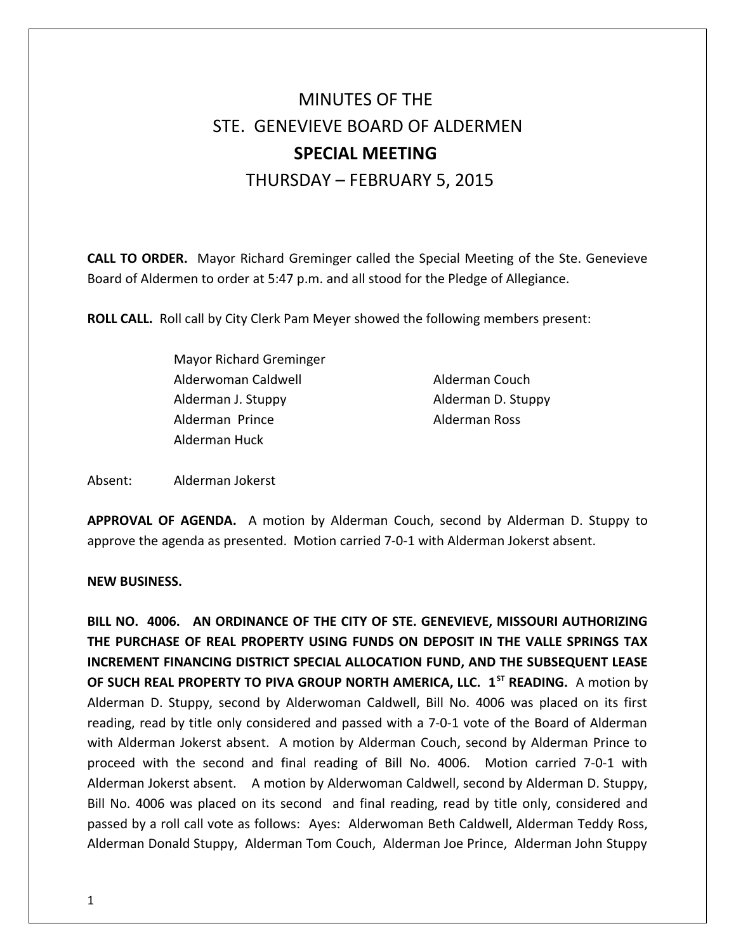## MINUTES OF THE STE. GENEVIEVE BOARD OF ALDERMEN **SPECIAL MEETING**  THURSDAY – FEBRUARY 5, 2015

**CALL TO ORDER.** Mayor Richard Greminger called the Special Meeting of the Ste. Genevieve Board of Aldermen to order at 5:47 p.m. and all stood for the Pledge of Allegiance.

**ROLL CALL.** Roll call by City Clerk Pam Meyer showed the following members present:

Mayor Richard Greminger Alderwoman Caldwell **Alderman Couch** Alderman J. Stuppy **Alderman D. Stuppy** Alderman Prince **Alderman Ross** Alderman Huck

Absent: Alderman Jokerst

**APPROVAL OF AGENDA.** A motion by Alderman Couch, second by Alderman D. Stuppy to approve the agenda as presented. Motion carried 7-0-1 with Alderman Jokerst absent.

## **NEW BUSINESS.**

**BILL NO. 4006. AN ORDINANCE OF THE CITY OF STE. GENEVIEVE, MISSOURI AUTHORIZING THE PURCHASE OF REAL PROPERTY USING FUNDS ON DEPOSIT IN THE VALLE SPRINGS TAX INCREMENT FINANCING DISTRICT SPECIAL ALLOCATION FUND, AND THE SUBSEQUENT LEASE OF SUCH REAL PROPERTY TO PIVA GROUP NORTH AMERICA, LLC. 1ST READING.** A motion by Alderman D. Stuppy, second by Alderwoman Caldwell, Bill No. 4006 was placed on its first reading, read by title only considered and passed with a 7-0-1 vote of the Board of Alderman with Alderman Jokerst absent. A motion by Alderman Couch, second by Alderman Prince to proceed with the second and final reading of Bill No. 4006. Motion carried 7-0-1 with Alderman Jokerst absent. A motion by Alderwoman Caldwell, second by Alderman D. Stuppy, Bill No. 4006 was placed on its second and final reading, read by title only, considered and passed by a roll call vote as follows: Ayes: Alderwoman Beth Caldwell, Alderman Teddy Ross, Alderman Donald Stuppy, Alderman Tom Couch, Alderman Joe Prince, Alderman John Stuppy